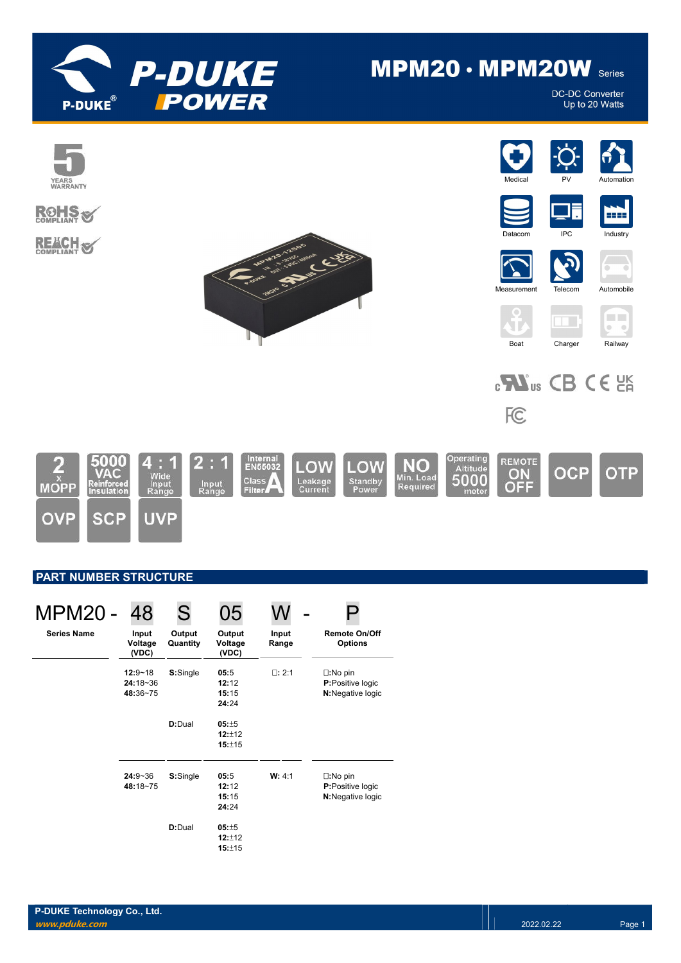

# $MPM20 \cdot MPM20W$  Series

**DC-DC Converter** Up to 20 Watts



## PART NUMBER STRUCTURE

| <b>MPM20 -</b>     | 48                                      | S.                 |                                 |                |                                                                   |
|--------------------|-----------------------------------------|--------------------|---------------------------------|----------------|-------------------------------------------------------------------|
| <b>Series Name</b> | Input<br>Voltage<br>(VDC)               | Output<br>Quantity | Output<br>Voltage<br>(VDC)      | Input<br>Range | <b>Remote On/Off</b><br><b>Options</b>                            |
|                    | $12:9 - 18$<br>$24:18 - 36$<br>48:36~75 | S:Single           | 05:5<br>12:12<br>15:15<br>24:24 | $\Box: 2:1$    | $\square:$ No pin<br><b>P:</b> Positive logic<br>N:Negative logic |
|                    |                                         | D:Dual             | 05:±5<br>12:112<br>15:±15       |                |                                                                   |
|                    | $24:9 - 36$<br>48:18~75                 | S:Single           | 05:5<br>12:12<br>15:15<br>24:24 | W: 4:1         | $\square:$ No pin<br><b>P:</b> Positive logic<br>N:Negative logic |
|                    |                                         | D:Dual             | 05:±5<br>12:±12<br>15:±15       |                |                                                                   |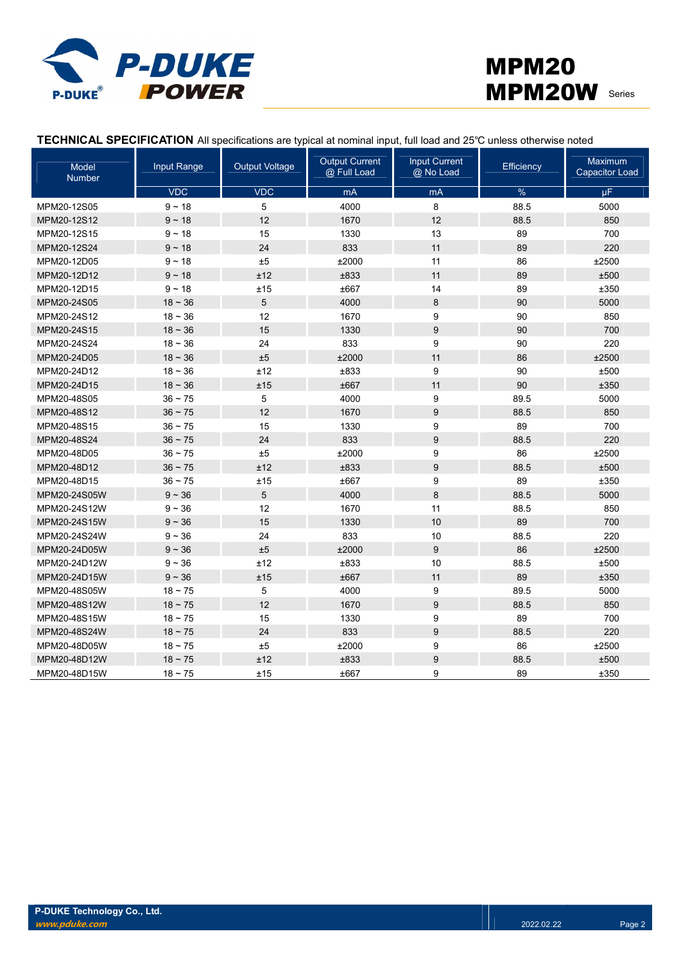



## TECHNICAL SPECIFICATION All specifications are typical at nominal input, full load and 25℃ unless otherwise noted

| Model<br><b>Number</b> | Input Range | <b>Output Voltage</b> | <b>Output Current</b><br>@ Full Load | <b>Input Current</b><br>@ No Load | Efficiency    | <b>Maximum</b><br><b>Capacitor Load</b> |
|------------------------|-------------|-----------------------|--------------------------------------|-----------------------------------|---------------|-----------------------------------------|
|                        | <b>VDC</b>  | <b>VDC</b>            | mA                                   | mA                                | $\frac{9}{6}$ | μF                                      |
| MPM20-12S05            | $9 - 18$    | 5                     | 4000                                 | $\bf 8$                           | 88.5          | 5000                                    |
| MPM20-12S12            | $9 - 18$    | 12                    | 1670                                 | 12                                | 88.5          | 850                                     |
| MPM20-12S15            | $9 - 18$    | 15                    | 1330                                 | 13                                | 89            | 700                                     |
| MPM20-12S24            | $9 - 18$    | 24                    | 833                                  | 11                                | 89            | 220                                     |
| MPM20-12D05            | $9 - 18$    | $\pm 5$               | ±2000                                | 11                                | 86            | ±2500                                   |
| MPM20-12D12            | $9 - 18$    | ±12                   | ±833                                 | 11                                | 89            | ±500                                    |
| MPM20-12D15            | $9 - 18$    | ±15                   | ±667                                 | 14                                | 89            | ±350                                    |
| MPM20-24S05            | $18 - 36$   | 5                     | 4000                                 | 8                                 | 90            | 5000                                    |
| MPM20-24S12            | $18 - 36$   | 12                    | 1670                                 | 9                                 | 90            | 850                                     |
| MPM20-24S15            | $18 - 36$   | 15                    | 1330                                 | $\boldsymbol{9}$                  | 90            | 700                                     |
| MPM20-24S24            | $18 - 36$   | 24                    | 833                                  | 9                                 | 90            | 220                                     |
| MPM20-24D05            | $18 - 36$   | $\pm 5$               | ±2000                                | 11                                | 86            | ±2500                                   |
| MPM20-24D12            | $18 - 36$   | ±12                   | ±833                                 | 9                                 | 90            | ±500                                    |
| MPM20-24D15            | $18 - 36$   | ±15                   | ±667                                 | 11                                | 90            | ±350                                    |
| MPM20-48S05            | $36 - 75$   | 5                     | 4000                                 | 9                                 | 89.5          | 5000                                    |
| MPM20-48S12            | $36 - 75$   | 12                    | 1670                                 | $\boldsymbol{9}$                  | 88.5          | 850                                     |
| MPM20-48S15            | $36 - 75$   | 15                    | 1330                                 | 9                                 | 89            | 700                                     |
| MPM20-48S24            | $36 - 75$   | 24                    | 833                                  | 9                                 | 88.5          | 220                                     |
| MPM20-48D05            | $36 - 75$   | ±5                    | ±2000                                | 9                                 | 86            | ±2500                                   |
| MPM20-48D12            | $36 - 75$   | ±12                   | ±833                                 | 9                                 | 88.5          | ±500                                    |
| MPM20-48D15            | $36 - 75$   | ±15                   | ±667                                 | 9                                 | 89            | ±350                                    |
| MPM20-24S05W           | $9 - 36$    | 5                     | 4000                                 | 8                                 | 88.5          | 5000                                    |
| MPM20-24S12W           | $9 - 36$    | 12                    | 1670                                 | 11                                | 88.5          | 850                                     |
| MPM20-24S15W           | $9 - 36$    | 15                    | 1330                                 | 10                                | 89            | 700                                     |
| MPM20-24S24W           | $9 - 36$    | 24                    | 833                                  | 10                                | 88.5          | 220                                     |
| MPM20-24D05W           | $9 - 36$    | ±5                    | ±2000                                | $\boldsymbol{9}$                  | 86            | ±2500                                   |
| MPM20-24D12W           | $9 - 36$    | ±12                   | ±833                                 | 10                                | 88.5          | ±500                                    |
| MPM20-24D15W           | $9 - 36$    | ±15                   | ±667                                 | 11                                | 89            | ±350                                    |
| MPM20-48S05W           | $18 - 75$   | 5                     | 4000                                 | 9                                 | 89.5          | 5000                                    |
| MPM20-48S12W           | $18 - 75$   | 12                    | 1670                                 | 9                                 | 88.5          | 850                                     |
| MPM20-48S15W           | $18 - 75$   | 15                    | 1330                                 | 9                                 | 89            | 700                                     |
| MPM20-48S24W           | $18 - 75$   | 24                    | 833                                  | 9                                 | 88.5          | 220                                     |
| MPM20-48D05W           | $18 - 75$   | ±5                    | ±2000                                | 9                                 | 86            | ±2500                                   |
| MPM20-48D12W           | $18 - 75$   | ±12                   | ±833                                 | 9                                 | 88.5          | ±500                                    |
| MPM20-48D15W           | $18 - 75$   | ±15                   | ±667                                 | 9                                 | 89            | ±350                                    |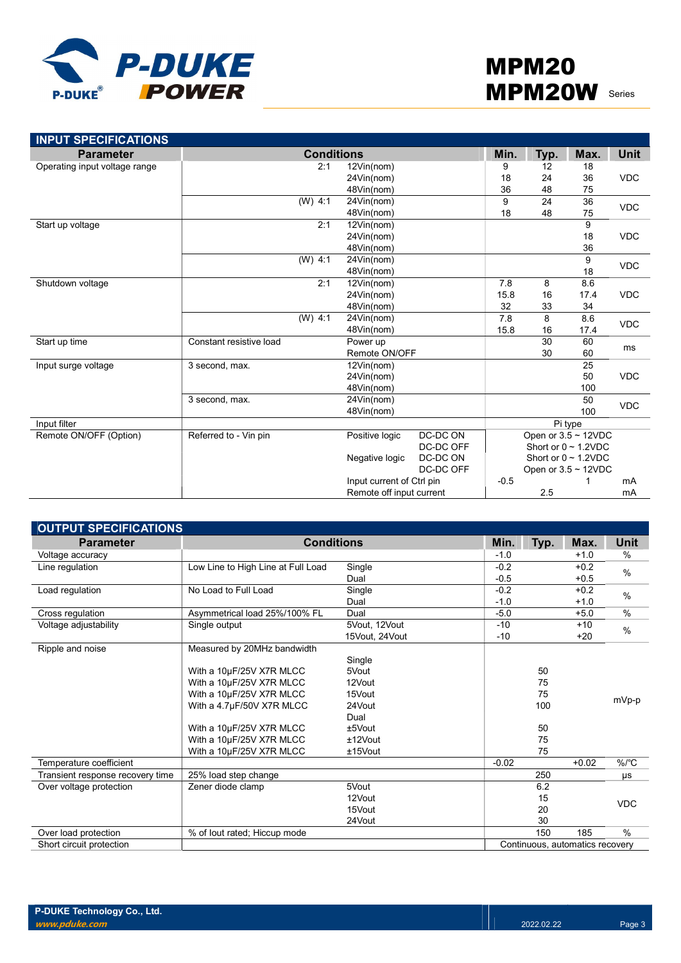

| <b>INPUT SPECIFICATIONS</b>   |                         |                   |                           |           |        |      |                           |             |
|-------------------------------|-------------------------|-------------------|---------------------------|-----------|--------|------|---------------------------|-------------|
| <b>Parameter</b>              |                         | <b>Conditions</b> |                           |           | Min.   | Typ. | Max.                      | <b>Unit</b> |
| Operating input voltage range |                         | 2:1               | 12Vin(nom)                |           | 9      | 12   | 18                        |             |
|                               |                         |                   | 24Vin(nom)                |           | 18     | 24   | 36                        | <b>VDC</b>  |
|                               |                         |                   | 48Vin(nom)                |           | 36     | 48   | 75                        |             |
|                               |                         | $(W)$ 4:1         | 24Vin(nom)                |           | 9      | 24   | 36                        | <b>VDC</b>  |
|                               |                         |                   | 48Vin(nom)                |           | 18     | 48   | 75                        |             |
| Start up voltage              |                         | 2:1               | 12Vin(nom)                |           |        |      | 9                         |             |
|                               |                         |                   | 24Vin(nom)                |           |        |      | 18                        | <b>VDC</b>  |
|                               |                         |                   | 48Vin(nom)                |           |        |      | 36                        |             |
|                               |                         | $(W)$ 4:1         | 24Vin(nom)                |           |        |      | 9                         | <b>VDC</b>  |
|                               |                         |                   | 48Vin(nom)                |           |        |      | 18                        |             |
| Shutdown voltage              |                         | 2:1               | 12Vin(nom)                |           | 7.8    | 8    | 8.6                       |             |
|                               |                         |                   | 24Vin(nom)                |           | 15.8   | 16   | 17.4                      | <b>VDC</b>  |
|                               |                         |                   | 48Vin(nom)                |           | 32     | 33   | 34                        |             |
|                               |                         | (W) 4:1           | 24Vin(nom)                |           | 7.8    | 8    | 8.6                       | <b>VDC</b>  |
|                               |                         |                   | 48Vin(nom)                |           | 15.8   | 16   | 17.4                      |             |
| Start up time                 | Constant resistive load |                   | Power up                  |           |        | 30   | 60                        | ms          |
|                               |                         |                   | Remote ON/OFF             |           |        | 30   | 60                        |             |
| Input surge voltage           | 3 second, max.          |                   | 12Vin(nom)                |           |        |      | 25                        |             |
|                               |                         |                   | 24Vin(nom)                |           |        |      | 50                        | <b>VDC</b>  |
|                               |                         |                   | 48Vin(nom)                |           |        |      | 100                       |             |
|                               | 3 second, max.          |                   | 24Vin(nom)                |           |        |      | 50                        | <b>VDC</b>  |
|                               |                         |                   | 48Vin(nom)                |           |        |      | 100                       |             |
| Input filter                  |                         |                   |                           |           |        |      | Pi type                   |             |
| Remote ON/OFF (Option)        | Referred to - Vin pin   |                   | Positive logic            | DC-DC ON  |        |      | Open or $3.5 \sim 12$ VDC |             |
|                               |                         |                   |                           | DC-DC OFF |        |      | Short or $0 \sim 1.2$ VDC |             |
|                               |                         |                   | Negative logic            | DC-DC ON  |        |      | Short or $0 \sim 1.2$ VDC |             |
|                               |                         |                   |                           | DC-DC OFF |        |      | Open or $3.5 \sim 12$ VDC |             |
|                               |                         |                   | Input current of Ctrl pin |           | $-0.5$ |      |                           | mA          |
|                               |                         |                   | Remote off input current  |           |        | 2.5  |                           | mA          |

| <b>OUTPUT SPECIFICATIONS</b>     |                                    |                |         |      |                                 |               |
|----------------------------------|------------------------------------|----------------|---------|------|---------------------------------|---------------|
| <b>Parameter</b>                 | <b>Conditions</b>                  |                | Min.    | Typ. | Max.                            | Unit          |
| Voltage accuracy                 |                                    |                | $-1.0$  |      | $+1.0$                          | $\%$          |
| Line regulation                  | Low Line to High Line at Full Load | Single         | $-0.2$  |      | $+0.2$                          | $\frac{0}{0}$ |
|                                  |                                    | Dual           | $-0.5$  |      | $+0.5$                          |               |
| Load regulation                  | No Load to Full Load               | Single         | $-0.2$  |      | $+0.2$                          | $\frac{0}{0}$ |
|                                  |                                    | Dual           | $-1.0$  |      | $+1.0$                          |               |
| Cross regulation                 | Asymmetrical load 25%/100% FL      | Dual           | $-5.0$  |      | $+5.0$                          | $\%$          |
| Voltage adjustability            | Single output                      | 5Vout, 12Vout  | $-10$   |      | $+10$                           | $\%$          |
|                                  |                                    | 15Vout, 24Vout | $-10$   |      | $+20$                           |               |
| Ripple and noise                 | Measured by 20MHz bandwidth        |                |         |      |                                 |               |
|                                  |                                    | Single         |         |      |                                 |               |
|                                  | With a 10µF/25V X7R MLCC           | 5Vout          |         | 50   |                                 |               |
|                                  | With a 10µF/25V X7R MLCC           | 12Vout         |         | 75   |                                 |               |
|                                  | With a 10µF/25V X7R MLCC           | 15Vout         |         | 75   |                                 | mVp-p         |
|                                  | With a 4.7µF/50V X7R MLCC          | 24Vout         |         | 100  |                                 |               |
|                                  |                                    | Dual           |         |      |                                 |               |
|                                  | With a 10µF/25V X7R MLCC           | $±5$ Vout      |         | 50   |                                 |               |
|                                  | With a 10µF/25V X7R MLCC           | ±12Vout        |         | 75   |                                 |               |
|                                  | With a 10µF/25V X7R MLCC           | $±15$ Vout     |         | 75   |                                 |               |
| Temperature coefficient          |                                    |                | $-0.02$ |      | $+0.02$                         | $\%$ /°C      |
| Transient response recovery time | 25% load step change               |                |         | 250  |                                 | μs            |
| Over voltage protection          | Zener diode clamp                  | 5Vout          |         | 6.2  |                                 |               |
|                                  |                                    | 12Vout         |         | 15   |                                 | <b>VDC</b>    |
|                                  |                                    | 15Vout         |         | 20   |                                 |               |
|                                  |                                    | 24Vout         |         | 30   |                                 |               |
| Over load protection             | % of lout rated; Hiccup mode       |                |         | 150  | 185                             | $\%$          |
| Short circuit protection         |                                    |                |         |      | Continuous, automatics recovery |               |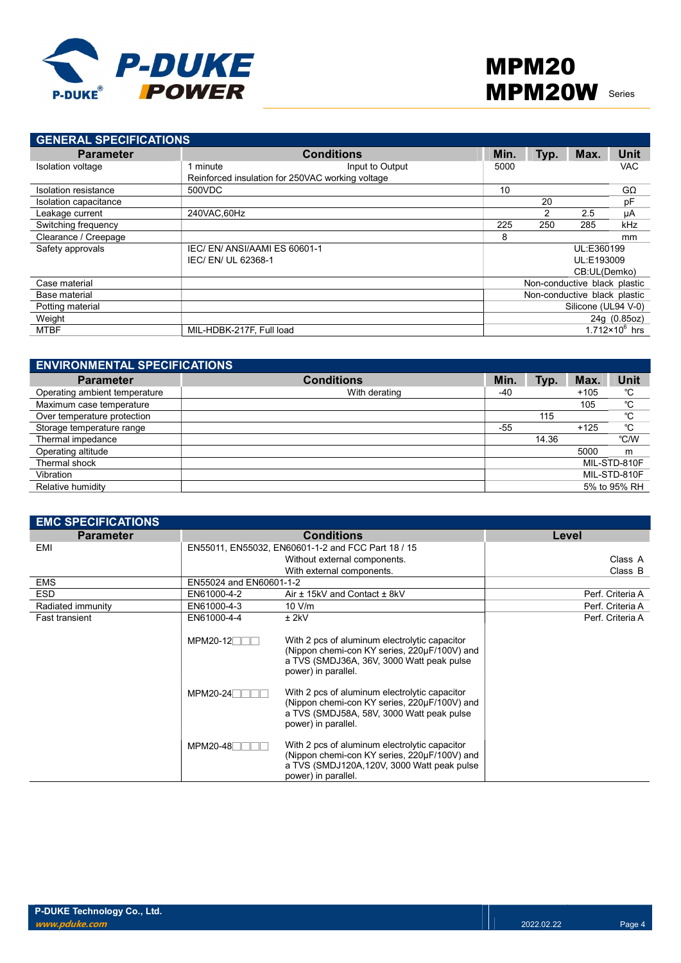

| <b>GENERAL SPECIFICATIONS</b> |                                                  |                   |      |      |                              |                              |
|-------------------------------|--------------------------------------------------|-------------------|------|------|------------------------------|------------------------------|
| <b>Parameter</b>              |                                                  | <b>Conditions</b> | Min. | Typ. | Max.                         | <b>Unit</b>                  |
| Isolation voltage             | 1 minute                                         | Input to Output   | 5000 |      |                              | <b>VAC</b>                   |
|                               | Reinforced insulation for 250VAC working voltage |                   |      |      |                              |                              |
| Isolation resistance          | 500VDC                                           |                   | 10   |      |                              | GΩ                           |
| Isolation capacitance         |                                                  |                   |      | 20   |                              | pF                           |
| Leakage current               | 240VAC.60Hz                                      |                   |      | 2    | 2.5                          | μA                           |
| Switching frequency           |                                                  |                   | 225  | 250  | 285                          | kHz                          |
| Clearance / Creepage          |                                                  |                   | 8    |      |                              | mm                           |
| Safety approvals              | IEC/EN/ANSI/AAMIES 60601-1                       |                   |      |      | UL:E360199                   |                              |
|                               | IEC/ EN/ UL 62368-1                              |                   |      |      | UL:E193009                   |                              |
|                               |                                                  |                   |      |      | CB:UL(Demko)                 |                              |
| Case material                 |                                                  |                   |      |      | Non-conductive black plastic |                              |
| Base material                 |                                                  |                   |      |      | Non-conductive black plastic |                              |
| Potting material              |                                                  |                   |      |      | Silicone (UL94 V-0)          |                              |
| Weight                        |                                                  |                   |      |      |                              | 24g (0.85oz)                 |
| MTBF                          | MIL-HDBK-217F, Full load                         |                   |      |      |                              | 1.712 $\times$ 10 $^{6}$ hrs |

| <b>ENVIRONMENTAL SPECIFICATIONS</b> |                   |       |       |        |              |
|-------------------------------------|-------------------|-------|-------|--------|--------------|
| <b>Parameter</b>                    | <b>Conditions</b> | Min.  | Typ.  | Max.   | <b>Unit</b>  |
| Operating ambient temperature       | With derating     | -40   |       | $+105$ | °C           |
| Maximum case temperature            |                   |       |       | 105    | °C           |
| Over temperature protection         |                   |       | 115   |        | °C           |
| Storage temperature range           |                   | $-55$ |       | $+125$ | °C           |
| Thermal impedance                   |                   |       | 14.36 |        | °C/W         |
| Operating altitude                  |                   |       |       | 5000   | m            |
| Thermal shock                       |                   |       |       |        | MIL-STD-810F |
| Vibration                           |                   |       |       |        | MIL-STD-810F |
| Relative humidity                   |                   |       |       |        | 5% to 95% RH |

| <b>EMC SPECIFICATIONS</b> |                         |                                                                                                                                                                    |                  |
|---------------------------|-------------------------|--------------------------------------------------------------------------------------------------------------------------------------------------------------------|------------------|
| <b>Parameter</b>          |                         | <b>Conditions</b>                                                                                                                                                  | Level            |
| EMI                       |                         | EN55011, EN55032, EN60601-1-2 and FCC Part 18 / 15                                                                                                                 |                  |
|                           |                         | Without external components.                                                                                                                                       | Class A          |
|                           |                         | With external components.                                                                                                                                          | Class B          |
| <b>EMS</b>                | EN55024 and EN60601-1-2 |                                                                                                                                                                    |                  |
| <b>ESD</b>                | EN61000-4-2             | Air ± 15kV and Contact ± 8kV                                                                                                                                       | Perf. Criteria A |
| Radiated immunity         | EN61000-4-3             | 10 V/m                                                                                                                                                             | Perf. Criteria A |
| <b>Fast transient</b>     | EN61000-4-4             | $±$ 2kV                                                                                                                                                            | Perf. Criteria A |
|                           | $MPM20-12$              | With 2 pcs of aluminum electrolytic capacitor<br>(Nippon chemi-con KY series, 220µF/100V) and<br>a TVS (SMDJ36A, 36V, 3000 Watt peak pulse<br>power) in parallel.  |                  |
|                           | MPM20-24 <sup>-1</sup>  | With 2 pcs of aluminum electrolytic capacitor<br>(Nippon chemi-con KY series, 220µF/100V) and<br>a TVS (SMDJ58A, 58V, 3000 Watt peak pulse<br>power) in parallel.  |                  |
|                           | MPM20-48                | With 2 pcs of aluminum electrolytic capacitor<br>(Nippon chemi-con KY series, 220µF/100V) and<br>a TVS (SMDJ120A,120V, 3000 Watt peak pulse<br>power) in parallel. |                  |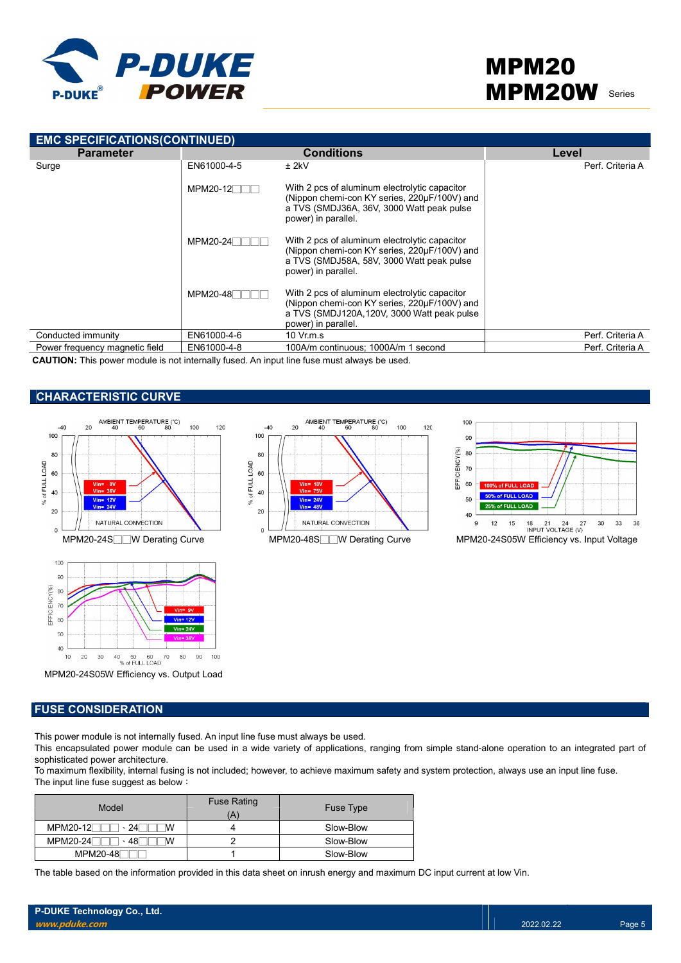

| <b>EMC SPECIFICATIONS(CONTINUED)</b> |             |                                                                                                                                                                     |                  |  |  |  |  |  |  |  |
|--------------------------------------|-------------|---------------------------------------------------------------------------------------------------------------------------------------------------------------------|------------------|--|--|--|--|--|--|--|
| <b>Parameter</b>                     |             | <b>Conditions</b>                                                                                                                                                   | Level            |  |  |  |  |  |  |  |
| Surge                                | EN61000-4-5 | $±$ 2kV                                                                                                                                                             | Perf. Criteria A |  |  |  |  |  |  |  |
|                                      | $MPM20-12$  | With 2 pcs of aluminum electrolytic capacitor<br>(Nippon chemi-con KY series, 220µF/100V) and<br>a TVS (SMDJ36A, 36V, 3000 Watt peak pulse<br>power) in parallel.   |                  |  |  |  |  |  |  |  |
|                                      | MPM20-24    | With 2 pcs of aluminum electrolytic capacitor<br>(Nippon chemi-con KY series, 220µF/100V) and<br>a TVS (SMDJ58A, 58V, 3000 Watt peak pulse<br>power) in parallel.   |                  |  |  |  |  |  |  |  |
|                                      | MPM20-48    | With 2 pcs of aluminum electrolytic capacitor<br>(Nippon chemi-con KY series, 220µF/100V) and<br>a TVS (SMDJ120A, 120V, 3000 Watt peak pulse<br>power) in parallel. |                  |  |  |  |  |  |  |  |
| Conducted immunity                   | EN61000-4-6 | $10 \,$ Vr.m.s                                                                                                                                                      | Perf. Criteria A |  |  |  |  |  |  |  |
| Power frequency magnetic field       | EN61000-4-8 | 100A/m continuous: 1000A/m 1 second                                                                                                                                 | Perf. Criteria A |  |  |  |  |  |  |  |

CAUTION: This power module is not internally fused. An input line fuse must always be used.

### CHARACTERISTIC CURVE







MPM20-24S05W Efficiency vs. Output Load

### FUSE CONSIDERATION

This power module is not internally fused. An input line fuse must always be used.

This encapsulated power module can be used in a wide variety of applications, ranging from simple stand-alone operation to an integrated part of sophisticated power architecture.

To maximum flexibility, internal fusing is not included; however, to achieve maximum safety and system protection, always use an input line fuse. The input line fuse suggest as below:

| Model                  | <b>Fuse Rating</b><br>Ά | Fuse Type |
|------------------------|-------------------------|-----------|
| MPM20-12<br>24         |                         | Slow-Blow |
| MPM20-24<br>- 481<br>M |                         | Slow-Blow |
| MPM20-48               |                         | Slow-Blow |

The table based on the information provided in this data sheet on inrush energy and maximum DC input current at low Vin.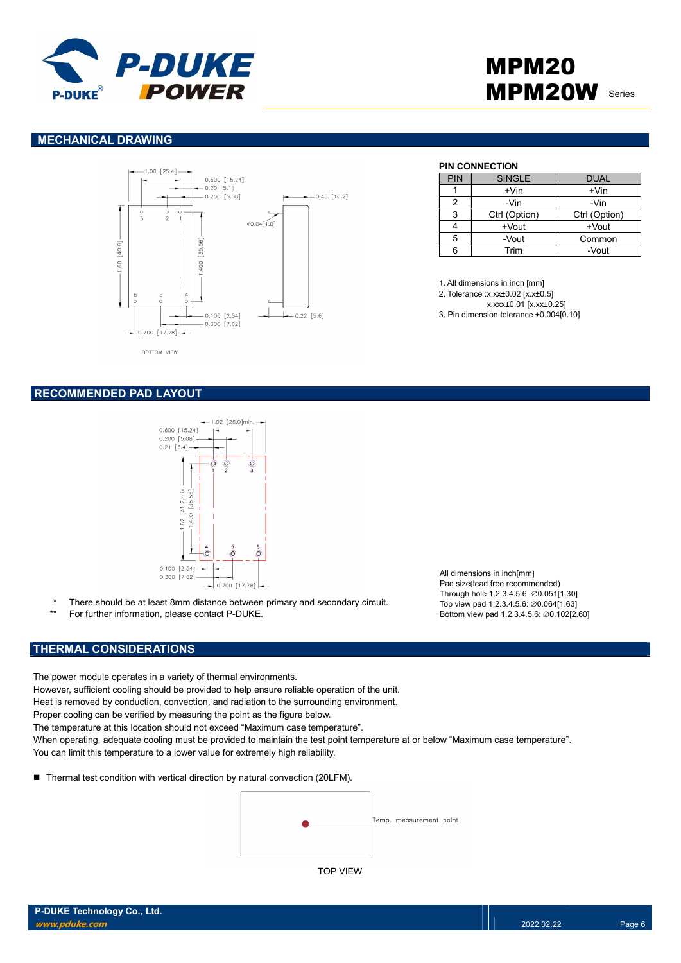

## MPM20 **MPM20W** Series

### MECHANICAL DRAWING



## PIN CONNECTION

| <b>PIN</b> | <b>SINGLE</b> | <b>DUAL</b>   |  |  |
|------------|---------------|---------------|--|--|
|            | $+V$ in       | $+V$ in       |  |  |
| 2          | -Vin          | -Vin          |  |  |
| ঽ          | Ctrl (Option) | Ctrl (Option) |  |  |
|            | +Vout         | +Vout         |  |  |
| 5          | -Vout         | Common        |  |  |
| ี่ค        | Trim          | -Vout         |  |  |

1. All dimensions in inch [mm]

2. Tolerance :x.xx±0.02 [x.x±0.5]

x.xxx±0.01 [x.xx±0.25]

3. Pin dimension tolerance ±0.004[0.10]

### RECOMMENDED PAD LAYOUT



- There should be at least 8mm distance between primary and secondary circuit.
- \*\* For further information, please contact P-DUKE.

### THERMAL CONSIDERATIONS

The power module operates in a variety of thermal environments.

However, sufficient cooling should be provided to help ensure reliable operation of the unit.

Heat is removed by conduction, convection, and radiation to the surrounding environment.

Proper cooling can be verified by measuring the point as the figure below.

The temperature at this location should not exceed "Maximum case temperature".

When operating, adequate cooling must be provided to maintain the test point temperature at or below "Maximum case temperature". You can limit this temperature to a lower value for extremely high reliability.

■ Thermal test condition with vertical direction by natural convection (20LFM).



All dimensions in inch[mm] Pad size(lead free recommended) Through hole 1.2.3.4.5.6: ∅0.051[1.30] Top view pad 1.2.3.4.5.6: ∅0.064[1.63] Bottom view pad 1.2.3.4.5.6: ∅0.102[2.60]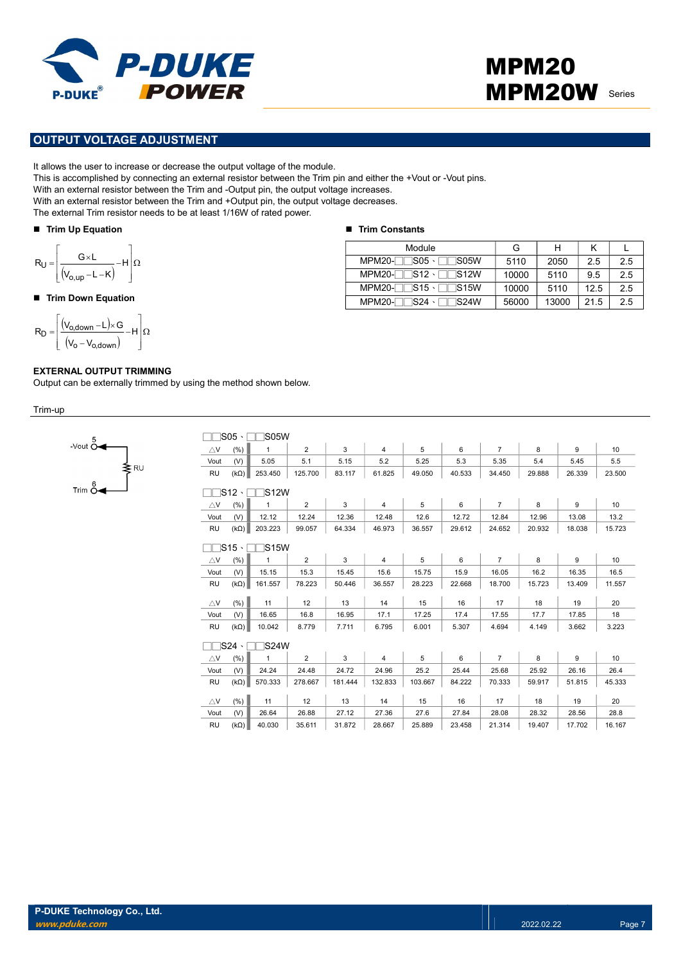

## MPM20 MPM20W Series

### OUTPUT VOLTAGE ADJUSTMENT

It allows the user to increase or decrease the output voltage of the module.

This is accomplished by connecting an external resistor between the Trim pin and either the +Vout or -Vout pins.

With an external resistor between the Trim and -Output pin, the output voltage increases.

With an external resistor between the Trim and +Output pin, the output voltage decreases.

The external Trim resistor needs to be at least 1/16W of rated power.

#### ■ Trim Up Equation

$$
R_U = \left[\frac{G \times L}{\left(V_{o,up} - L - K\right)} - H\right] \Omega
$$

#### ■ Trim Down Equation

$$
R_D = \left[ \frac{(V_{o,\text{down}} - L) \times G}{(V_o - V_{o,\text{down}})} - H \right] \Omega
$$

 $-$ Vout  $\overline{O}$ 

 $\begin{matrix}\n & \uparrow \\
 & \downarrow \\
 & \downarrow \\
 & \downarrow \\
\text{Trim}\,\, \stackrel{6}{\circ}\quad\n\end{matrix}$ 

### EXTERNAL OUTPUT TRIMMING

Output can be externally trimmed by using the method shown below.

Trim-up

|                            |                         | <b>IS05W</b> |                |         |                |         |                                                                                                                                                                                                                                                                                                                                                                                                                                                                                                                                                                                                                                                                                                                             |        |        |        |        |
|----------------------------|-------------------------|--------------|----------------|---------|----------------|---------|-----------------------------------------------------------------------------------------------------------------------------------------------------------------------------------------------------------------------------------------------------------------------------------------------------------------------------------------------------------------------------------------------------------------------------------------------------------------------------------------------------------------------------------------------------------------------------------------------------------------------------------------------------------------------------------------------------------------------------|--------|--------|--------|--------|
| $\triangle$ V              | (% )                    | 1            | $\overline{2}$ | 3       | $\overline{4}$ | 5       | $\overline{7}$<br>6<br>8<br>9<br>10<br>5.5<br>5.3<br>5.4<br>5.35<br>5.45<br>40.533<br>29.888<br>26.339<br>23.500<br>34.450<br>5<br>6<br>$\overline{7}$<br>8<br>9<br>10<br>12.6<br>12.72<br>12.84<br>13.2<br>12.96<br>13.08<br>15.723<br>29.612<br>24.652<br>20.932<br>18.038<br>5<br>6<br>$\overline{7}$<br>9<br>10<br>8<br>15.9<br>16.05<br>16.2<br>16.35<br>16.5<br>22.668<br>18.700<br>15.723<br>13.409<br>11.557<br>15<br>16<br>17<br>18<br>20<br>19<br>18<br>17.4<br>17.55<br>17.7<br>17.85<br>3.223<br>5.307<br>4.694<br>4.149<br>3.662<br>$\overline{7}$<br>5<br>6<br>8<br>9<br>10<br>26.4<br>25.44<br>25.68<br>25.92<br>26.16<br>84.222<br>70.333<br>51.815<br>45.333<br>59.917<br>15<br>16<br>17<br>18<br>20<br>19 |        |        |        |        |
| Vout                       | (V)                     | 5.05         | 5.1            | 5.15    | 5.2            | 5.25    |                                                                                                                                                                                                                                                                                                                                                                                                                                                                                                                                                                                                                                                                                                                             |        |        |        |        |
| <b>RU</b>                  | $(k\Omega)$             | 253.450      | 125.700        | 83.117  | 61.825         | 49.050  |                                                                                                                                                                                                                                                                                                                                                                                                                                                                                                                                                                                                                                                                                                                             |        |        |        |        |
|                            | $\sqcap$ S12 $\cdot$    | <b>S12W</b>  |                |         |                |         |                                                                                                                                                                                                                                                                                                                                                                                                                                                                                                                                                                                                                                                                                                                             |        |        |        |        |
|                            |                         |              |                |         |                |         |                                                                                                                                                                                                                                                                                                                                                                                                                                                                                                                                                                                                                                                                                                                             |        |        |        |        |
| $\triangle$ V              | (%)                     | $\mathbf{1}$ | $\overline{2}$ | 3       | $\overline{4}$ |         |                                                                                                                                                                                                                                                                                                                                                                                                                                                                                                                                                                                                                                                                                                                             |        |        |        |        |
| Vout                       | (V)                     | 12.12        | 12.24          | 12.36   | 12.48          |         |                                                                                                                                                                                                                                                                                                                                                                                                                                                                                                                                                                                                                                                                                                                             |        |        |        |        |
| <b>RU</b>                  | $(k\Omega)$             | 203.223      | 99.057         | 64.334  | 46.973         | 36.557  |                                                                                                                                                                                                                                                                                                                                                                                                                                                                                                                                                                                                                                                                                                                             |        |        |        |        |
|                            | $\square$ S15 $\cdot$   | 1S15W        |                |         |                |         |                                                                                                                                                                                                                                                                                                                                                                                                                                                                                                                                                                                                                                                                                                                             |        |        |        |        |
| $\triangle$ V              | (%)                     | $\mathbf{1}$ | $\overline{2}$ | 3       | $\overline{4}$ |         |                                                                                                                                                                                                                                                                                                                                                                                                                                                                                                                                                                                                                                                                                                                             |        |        |        |        |
| Vout                       | (V)                     | 15.15        | 15.3           | 15.45   | 15.6           | 15.75   |                                                                                                                                                                                                                                                                                                                                                                                                                                                                                                                                                                                                                                                                                                                             |        |        |        |        |
| <b>RU</b>                  | $(k\Omega)$             | 161.557      | 78.223         | 50.446  | 36.557         | 28.223  |                                                                                                                                                                                                                                                                                                                                                                                                                                                                                                                                                                                                                                                                                                                             |        |        |        |        |
|                            |                         |              |                |         |                |         |                                                                                                                                                                                                                                                                                                                                                                                                                                                                                                                                                                                                                                                                                                                             |        |        |        |        |
| $\triangle$ V              | (%)                     | 11           | 12             | 13      | 14             |         |                                                                                                                                                                                                                                                                                                                                                                                                                                                                                                                                                                                                                                                                                                                             |        |        |        |        |
| Vout                       | (V)                     | 16.65        | 16.8           | 16.95   | 17.1           | 17.25   |                                                                                                                                                                                                                                                                                                                                                                                                                                                                                                                                                                                                                                                                                                                             |        |        |        |        |
| <b>RU</b>                  | $(k\Omega)$             | 10.042       | 8.779          | 7.711   | 6.795          | 6.001   |                                                                                                                                                                                                                                                                                                                                                                                                                                                                                                                                                                                                                                                                                                                             |        |        |        |        |
|                            | $\sqsupset$ S24 $\cdot$ | <b>S24W</b>  |                |         |                |         |                                                                                                                                                                                                                                                                                                                                                                                                                                                                                                                                                                                                                                                                                                                             |        |        |        |        |
| $\bigtriangleup\mathsf{V}$ | (% )                    | $\mathbf{1}$ | $\overline{2}$ | 3       | $\overline{4}$ |         |                                                                                                                                                                                                                                                                                                                                                                                                                                                                                                                                                                                                                                                                                                                             |        |        |        |        |
| Vout                       | (V)                     | 24.24        | 24.48          | 24.72   | 24.96          | 25.2    |                                                                                                                                                                                                                                                                                                                                                                                                                                                                                                                                                                                                                                                                                                                             |        |        |        |        |
| <b>RU</b>                  | $(k\Omega)$             | 570.333      | 278.667        | 181.444 | 132.833        | 103.667 |                                                                                                                                                                                                                                                                                                                                                                                                                                                                                                                                                                                                                                                                                                                             |        |        |        |        |
|                            |                         |              |                |         |                |         |                                                                                                                                                                                                                                                                                                                                                                                                                                                                                                                                                                                                                                                                                                                             |        |        |        |        |
| $\triangle$ V              | (%)                     | 11           | 12             | 13      | 14             |         |                                                                                                                                                                                                                                                                                                                                                                                                                                                                                                                                                                                                                                                                                                                             |        |        |        |        |
| Vout                       | (V)                     | 26.64        | 26.88          | 27.12   | 27.36          | 27.6    | 27.84                                                                                                                                                                                                                                                                                                                                                                                                                                                                                                                                                                                                                                                                                                                       | 28.08  | 28.32  | 28.56  | 28.8   |
| <b>RU</b>                  | $(k\Omega)$             | 40.030       | 35.611         | 31.872  | 28.667         | 25.889  | 23.458                                                                                                                                                                                                                                                                                                                                                                                                                                                                                                                                                                                                                                                                                                                      | 21.314 | 19.407 | 17.702 | 16.167 |

### ■ Trim Constants

| Module                            | G     | н     | κ    |     |
|-----------------------------------|-------|-------|------|-----|
| $MPM20 S05 \cdot$ $TSS05W$        | 5110  | 2050  | 2.5  | 2.5 |
| $MPM20-TS12 \cdot TTS12W$         | 10000 | 5110  | 9.5  | 2.5 |
| $MPM20-TS15 \cdot TTS15W$         | 10000 | 5110  | 12.5 | 2.5 |
| $MPM20-TS24 \cdot$<br>$\Box$ S24W | 56000 | 13000 | 21.5 | 2.5 |